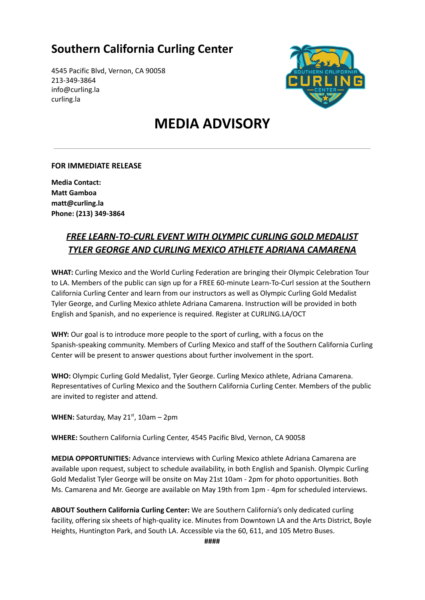## **Southern California Curling Center**

4545 Pacific Blvd, Vernon, CA 90058 213-349-3864 info@curling.la curling.la



# **MEDIA ADVISORY**

#### **FOR IMMEDIATE RELEASE**

**Media Contact: Matt Gamboa matt@curling.la Phone: (213) 349-3864**

#### *FREE LEARN-TO-CURL EVENT WITH OLYMPIC CURLING GOLD MEDALIST TYLER GEORGE AND CURLING MEXICO ATHLETE ADRIANA CAMARENA*

**WHAT:** Curling Mexico and the World Curling Federation are bringing their Olympic Celebration Tour to LA. Members of the public can sign up for a FREE 60-minute Learn-To-Curl session at the Southern California Curling Center and learn from our instructors as well as Olympic Curling Gold Medalist Tyler George, and Curling Mexico athlete Adriana Camarena. Instruction will be provided in both English and Spanish, and no experience is required. Register at CURLING.LA/OCT

**WHY:** Our goal is to introduce more people to the sport of curling, with a focus on the Spanish-speaking community. Members of Curling Mexico and staff of the Southern California Curling Center will be present to answer questions about further involvement in the sport.

**WHO:** Olympic Curling Gold Medalist, Tyler George. Curling Mexico athlete, Adriana Camarena. Representatives of Curling Mexico and the Southern California Curling Center. Members of the public are invited to register and attend.

**WHEN:** Saturday, May 21<sup>st</sup>, 10am – 2pm

**WHERE:** Southern California Curling Center, 4545 Pacific Blvd, Vernon, CA 90058

**MEDIA OPPORTUNITIES:** Advance interviews with Curling Mexico athlete Adriana Camarena are available upon request, subject to schedule availability, in both English and Spanish. Olympic Curling Gold Medalist Tyler George will be onsite on May 21st 10am - 2pm for photo opportunities. Both Ms. Camarena and Mr. George are available on May 19th from 1pm - 4pm for scheduled interviews.

**ABOUT Southern California Curling Center:** We are Southern California's only dedicated curling facility, offering six sheets of high-quality ice. Minutes from Downtown LA and the Arts District, Boyle Heights, Huntington Park, and South LA. Accessible via the 60, 611, and 105 Metro Buses.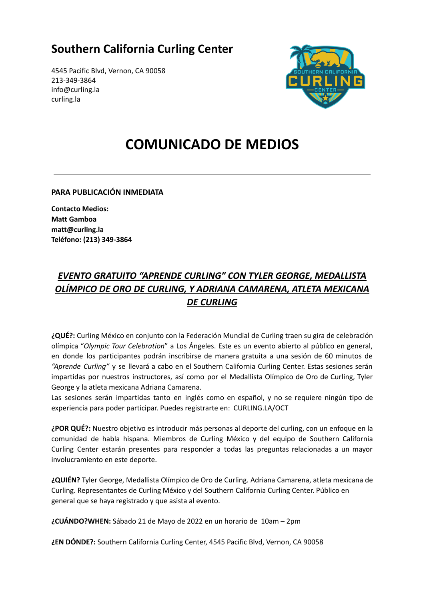## **Southern California Curling Center**

4545 Pacific Blvd, Vernon, CA 90058 213-349-3864 info@curling.la curling.la



# **COMUNICADO DE MEDIOS**

**PARA PUBLICACIÓN INMEDIATA**

**Contacto Medios: Matt Gamboa matt@curling.la Teléfono: (213) 349-3864**

### *EVENTO GRATUITO "APRENDE CURLING" CON TYLER GEORGE, MEDALLISTA OLÍMPICO DE ORO DE CURLING, Y ADRIANA CAMARENA, ATLETA MEXICANA DE CURLING*

**¿QUÉ?:** Curling México en conjunto con la Federación Mundial de Curling traen su gira de celebración olímpica "*Olympic Tour Celebration*" a Los Ángeles. Este es un evento abierto al público en general, en donde los participantes podrán inscribirse de manera gratuita a una sesión de 60 minutos de *"Aprende Curling"* y se llevará a cabo en el Southern California Curling Center. Estas sesiones serán impartidas por nuestros instructores, así como por el Medallista Olímpico de Oro de Curling, Tyler George y la atleta mexicana Adriana Camarena.

Las sesiones serán impartidas tanto en inglés como en español, y no se requiere ningún tipo de experiencia para poder participar. Puedes registrarte en: CURLING.LA/OCT

**¿POR QUÉ?:** Nuestro objetivo es introducir más personas al deporte del curling, con un enfoque en la comunidad de habla hispana. Miembros de Curling México y del equipo de Southern California Curling Center estarán presentes para responder a todas las preguntas relacionadas a un mayor involucramiento en este deporte.

**¿QUIÉN?** Tyler George, Medallista Olímpico de Oro de Curling. Adriana Camarena, atleta mexicana de Curling. Representantes de Curling México y del Southern California Curling Center. Público en general que se haya registrado y que asista al evento.

**¿CUÁNDO?WHEN:** Sábado 21 de Mayo de 2022 en un horario de 10am – 2pm

**¿EN DÓNDE?:** Southern California Curling Center, 4545 Pacific Blvd, Vernon, CA 90058